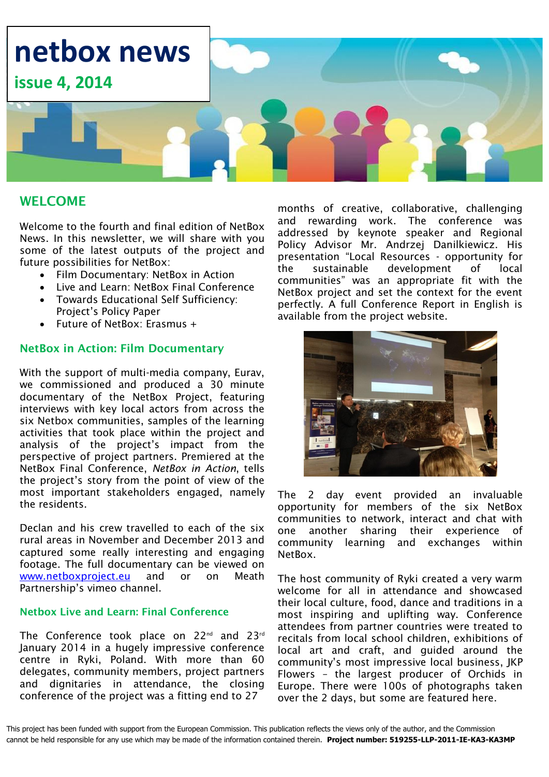

### **WELCOME**

Welcome to the fourth and final edition of NetBox News. In this newsletter, we will share with you some of the latest outputs of the project and future possibilities for NetBox:

- Film Documentary: NetBox in Action
- Live and Learn: NetBox Final Conference
- Towards Educational Self Sufficiency: Project's Policy Paper
- Future of NetBox: Erasmus +

#### **NetBox in Action: Film Documentary**

With the support of multi-media company, Eurav, we commissioned and produced a 30 minute documentary of the NetBox Project, featuring interviews with key local actors from across the six Netbox communities, samples of the learning activities that took place within the project and analysis of the project's impact from the perspective of project partners. Premiered at the NetBox Final Conference, *NetBox in Action*, tells the project's story from the point of view of the most important stakeholders engaged, namely the residents.

Declan and his crew travelled to each of the six rural areas in November and December 2013 and captured some really interesting and engaging footage. The full documentary can be viewed on [www.netboxproject.eu](http://www.netboxproject.eu/) and or on Meath Partnership's vimeo channel.

### **Netbox Live and Learn: Final Conference**

The Conference took place on 22<sup>nd</sup> and 23<sup>rd</sup> January 2014 in a hugely impressive conference centre in Ryki, Poland. With more than 60 delegates, community members, project partners and dignitaries in attendance, the closing conference of the project was a fitting end to 27

months of creative, collaborative, challenging and rewarding work. The conference was addressed by keynote speaker and Regional Policy Advisor Mr. Andrzej Danilkiewicz. His presentation "Local Resources - opportunity for the sustainable development of local communities" was an appropriate fit with the NetBox project and set the context for the event perfectly. A full Conference Report in English is available from the project website.



The 2 day event provided an invaluable opportunity for members of the six NetBox communities to network, interact and chat with one another sharing their experience of community learning and exchanges within NetBox.

The host community of Ryki created a very warm welcome for all in attendance and showcased their local culture, food, dance and traditions in a most inspiring and uplifting way. Conference attendees from partner countries were treated to recitals from local school children, exhibitions of local art and craft, and guided around the community's most impressive local business, JKP Flowers – the largest producer of Orchids in Europe. There were 100s of photographs taken over the 2 days, but some are featured here.